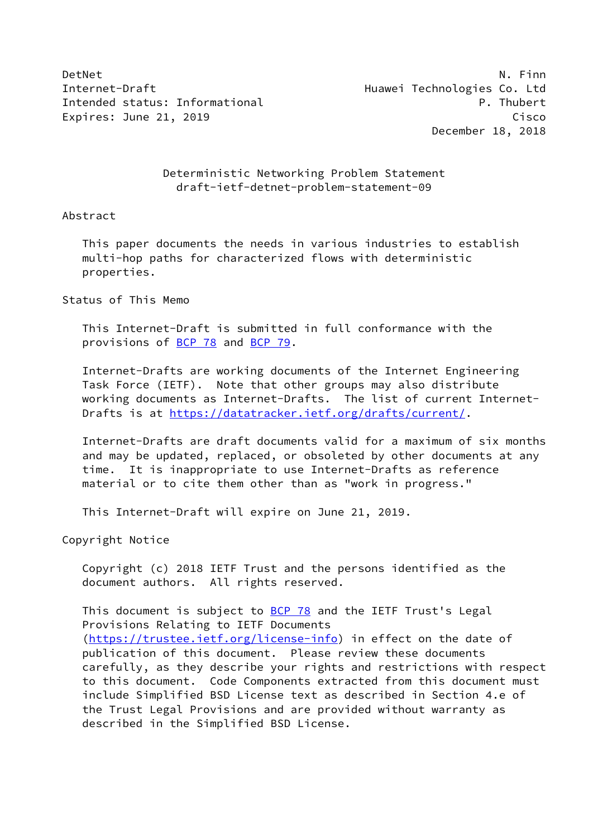DetNet N. Finn Internet-Draft **Huawei Technologies Co.** Ltd Intended status: Informational example and the properties of the P. Thubert Expires: June 21, 2019 Cisco

December 18, 2018

# Deterministic Networking Problem Statement draft-ietf-detnet-problem-statement-09

## Abstract

 This paper documents the needs in various industries to establish multi-hop paths for characterized flows with deterministic properties.

# Status of This Memo

 This Internet-Draft is submitted in full conformance with the provisions of [BCP 78](https://datatracker.ietf.org/doc/pdf/bcp78) and [BCP 79](https://datatracker.ietf.org/doc/pdf/bcp79).

 Internet-Drafts are working documents of the Internet Engineering Task Force (IETF). Note that other groups may also distribute working documents as Internet-Drafts. The list of current Internet Drafts is at<https://datatracker.ietf.org/drafts/current/>.

 Internet-Drafts are draft documents valid for a maximum of six months and may be updated, replaced, or obsoleted by other documents at any time. It is inappropriate to use Internet-Drafts as reference material or to cite them other than as "work in progress."

This Internet-Draft will expire on June 21, 2019.

Copyright Notice

 Copyright (c) 2018 IETF Trust and the persons identified as the document authors. All rights reserved.

This document is subject to **[BCP 78](https://datatracker.ietf.org/doc/pdf/bcp78)** and the IETF Trust's Legal Provisions Relating to IETF Documents [\(https://trustee.ietf.org/license-info](https://trustee.ietf.org/license-info)) in effect on the date of publication of this document. Please review these documents carefully, as they describe your rights and restrictions with respect to this document. Code Components extracted from this document must include Simplified BSD License text as described in Section 4.e of the Trust Legal Provisions and are provided without warranty as described in the Simplified BSD License.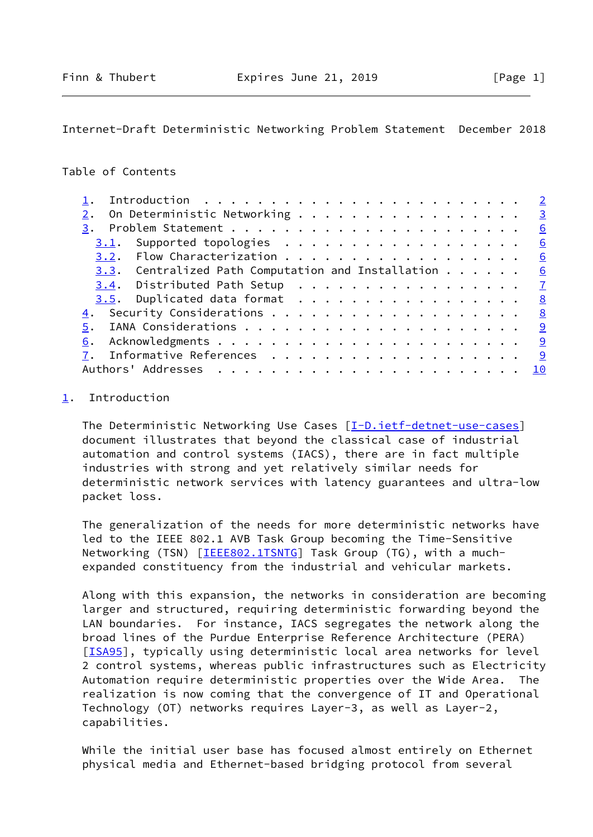<span id="page-1-1"></span>Internet-Draft Deterministic Networking Problem Statement December 2018

# Table of Contents

|                                                               |  |  |  | $\overline{2}$ |
|---------------------------------------------------------------|--|--|--|----------------|
| On Deterministic Networking 3<br>2.                           |  |  |  |                |
|                                                               |  |  |  | 6              |
|                                                               |  |  |  | 6              |
|                                                               |  |  |  | 6              |
| 3.3. Centralized Path Computation and Installation $\cdots$ 6 |  |  |  |                |
| $3.4$ . Distributed Path Setup 7                              |  |  |  |                |
|                                                               |  |  |  | 8              |
|                                                               |  |  |  | 8              |
| 5.                                                            |  |  |  |                |
| 6.                                                            |  |  |  |                |
|                                                               |  |  |  | 9              |
|                                                               |  |  |  | <u> 10</u>     |

#### <span id="page-1-0"></span>[1](#page-1-0). Introduction

 The Deterministic Networking Use Cases [\[I-D.ietf-detnet-use-cases](#page-10-1)] document illustrates that beyond the classical case of industrial automation and control systems (IACS), there are in fact multiple industries with strong and yet relatively similar needs for deterministic network services with latency guarantees and ultra-low packet loss.

 The generalization of the needs for more deterministic networks have led to the IEEE 802.1 AVB Task Group becoming the Time-Sensitive Networking (TSN) [\[IEEE802.1TSNTG](#page-10-2)] Task Group (TG), with a muchexpanded constituency from the industrial and vehicular markets.

 Along with this expansion, the networks in consideration are becoming larger and structured, requiring deterministic forwarding beyond the LAN boundaries. For instance, IACS segregates the network along the broad lines of the Purdue Enterprise Reference Architecture (PERA) [\[ISA95](#page-10-3)], typically using deterministic local area networks for level 2 control systems, whereas public infrastructures such as Electricity Automation require deterministic properties over the Wide Area. The realization is now coming that the convergence of IT and Operational Technology (OT) networks requires Layer-3, as well as Layer-2, capabilities.

 While the initial user base has focused almost entirely on Ethernet physical media and Ethernet-based bridging protocol from several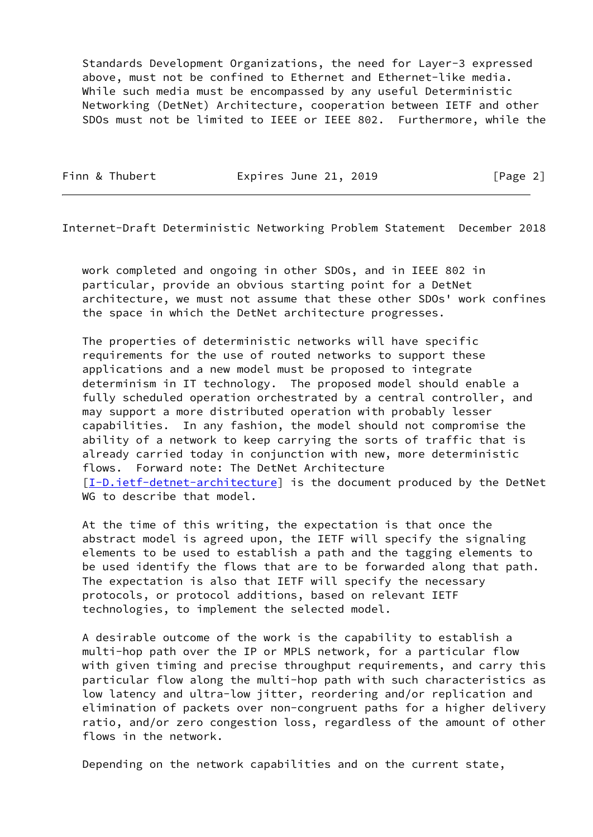Standards Development Organizations, the need for Layer-3 expressed above, must not be confined to Ethernet and Ethernet-like media. While such media must be encompassed by any useful Deterministic Networking (DetNet) Architecture, cooperation between IETF and other SDOs must not be limited to IEEE or IEEE 802. Furthermore, while the

Finn & Thubert **Expires June 21, 2019** [Page 2]

<span id="page-2-0"></span>Internet-Draft Deterministic Networking Problem Statement December 2018

 work completed and ongoing in other SDOs, and in IEEE 802 in particular, provide an obvious starting point for a DetNet architecture, we must not assume that these other SDOs' work confines the space in which the DetNet architecture progresses.

 The properties of deterministic networks will have specific requirements for the use of routed networks to support these applications and a new model must be proposed to integrate determinism in IT technology. The proposed model should enable a fully scheduled operation orchestrated by a central controller, and may support a more distributed operation with probably lesser capabilities. In any fashion, the model should not compromise the ability of a network to keep carrying the sorts of traffic that is already carried today in conjunction with new, more deterministic flows. Forward note: The DetNet Architecture [\[I-D.ietf-detnet-architecture](#page-9-4)] is the document produced by the DetNet WG to describe that model.

 At the time of this writing, the expectation is that once the abstract model is agreed upon, the IETF will specify the signaling elements to be used to establish a path and the tagging elements to be used identify the flows that are to be forwarded along that path. The expectation is also that IETF will specify the necessary protocols, or protocol additions, based on relevant IETF technologies, to implement the selected model.

 A desirable outcome of the work is the capability to establish a multi-hop path over the IP or MPLS network, for a particular flow with given timing and precise throughput requirements, and carry this particular flow along the multi-hop path with such characteristics as low latency and ultra-low jitter, reordering and/or replication and elimination of packets over non-congruent paths for a higher delivery ratio, and/or zero congestion loss, regardless of the amount of other flows in the network.

Depending on the network capabilities and on the current state,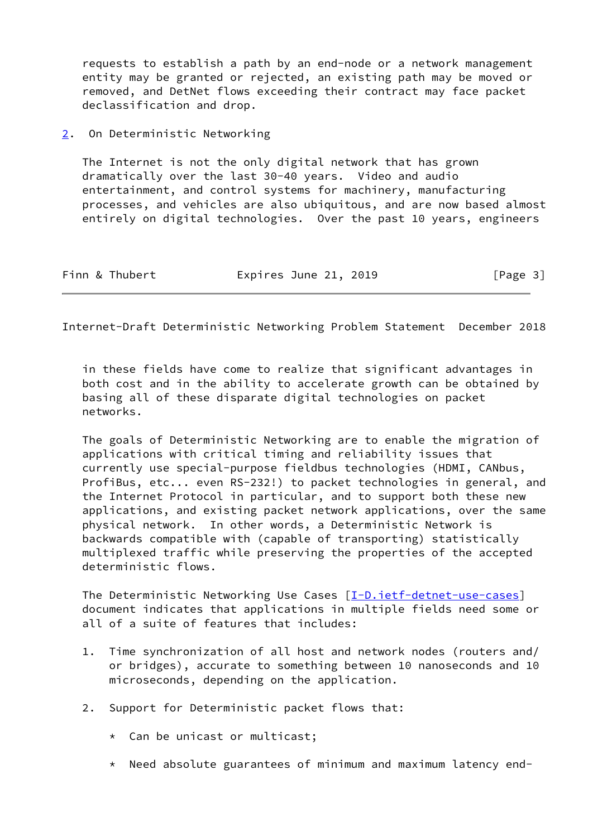requests to establish a path by an end-node or a network management entity may be granted or rejected, an existing path may be moved or removed, and DetNet flows exceeding their contract may face packet declassification and drop.

## <span id="page-3-0"></span>[2](#page-3-0). On Deterministic Networking

 The Internet is not the only digital network that has grown dramatically over the last 30-40 years. Video and audio entertainment, and control systems for machinery, manufacturing processes, and vehicles are also ubiquitous, and are now based almost entirely on digital technologies. Over the past 10 years, engineers

| Finn & Thubert | Expires June 21, 2019 | [Page 3] |
|----------------|-----------------------|----------|
|----------------|-----------------------|----------|

Internet-Draft Deterministic Networking Problem Statement December 2018

 in these fields have come to realize that significant advantages in both cost and in the ability to accelerate growth can be obtained by basing all of these disparate digital technologies on packet networks.

 The goals of Deterministic Networking are to enable the migration of applications with critical timing and reliability issues that currently use special-purpose fieldbus technologies (HDMI, CANbus, ProfiBus, etc... even RS-232!) to packet technologies in general, and the Internet Protocol in particular, and to support both these new applications, and existing packet network applications, over the same physical network. In other words, a Deterministic Network is backwards compatible with (capable of transporting) statistically multiplexed traffic while preserving the properties of the accepted deterministic flows.

The Deterministic Networking Use Cases [\[I-D.ietf-detnet-use-cases](#page-10-1)] document indicates that applications in multiple fields need some or all of a suite of features that includes:

- 1. Time synchronization of all host and network nodes (routers and/ or bridges), accurate to something between 10 nanoseconds and 10 microseconds, depending on the application.
- 2. Support for Deterministic packet flows that:
	- \* Can be unicast or multicast;
	- \* Need absolute guarantees of minimum and maximum latency end-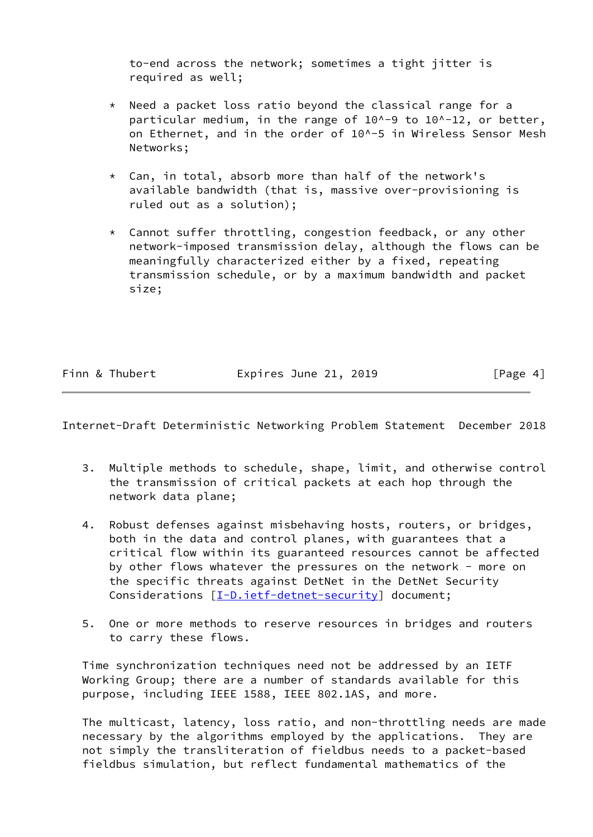to-end across the network; sometimes a tight jitter is required as well;

- \* Need a packet loss ratio beyond the classical range for a particular medium, in the range of 10^-9 to 10^-12, or better, on Ethernet, and in the order of 10^-5 in Wireless Sensor Mesh Networks;
- $*$  Can, in total, absorb more than half of the network's available bandwidth (that is, massive over-provisioning is ruled out as a solution);
- \* Cannot suffer throttling, congestion feedback, or any other network-imposed transmission delay, although the flows can be meaningfully characterized either by a fixed, repeating transmission schedule, or by a maximum bandwidth and packet size;

| Finn & Thubert | Expires June 21, 2019 | [Page 4] |
|----------------|-----------------------|----------|
|                |                       |          |

Internet-Draft Deterministic Networking Problem Statement December 2018

- 3. Multiple methods to schedule, shape, limit, and otherwise control the transmission of critical packets at each hop through the network data plane;
- 4. Robust defenses against misbehaving hosts, routers, or bridges, both in the data and control planes, with guarantees that a critical flow within its guaranteed resources cannot be affected by other flows whatever the pressures on the network - more on the specific threats against DetNet in the DetNet Security Considerations  $[\underline{I-D.iett-det-set-security}]$  document;
- 5. One or more methods to reserve resources in bridges and routers to carry these flows.

 Time synchronization techniques need not be addressed by an IETF Working Group; there are a number of standards available for this purpose, including IEEE 1588, IEEE 802.1AS, and more.

 The multicast, latency, loss ratio, and non-throttling needs are made necessary by the algorithms employed by the applications. They are not simply the transliteration of fieldbus needs to a packet-based fieldbus simulation, but reflect fundamental mathematics of the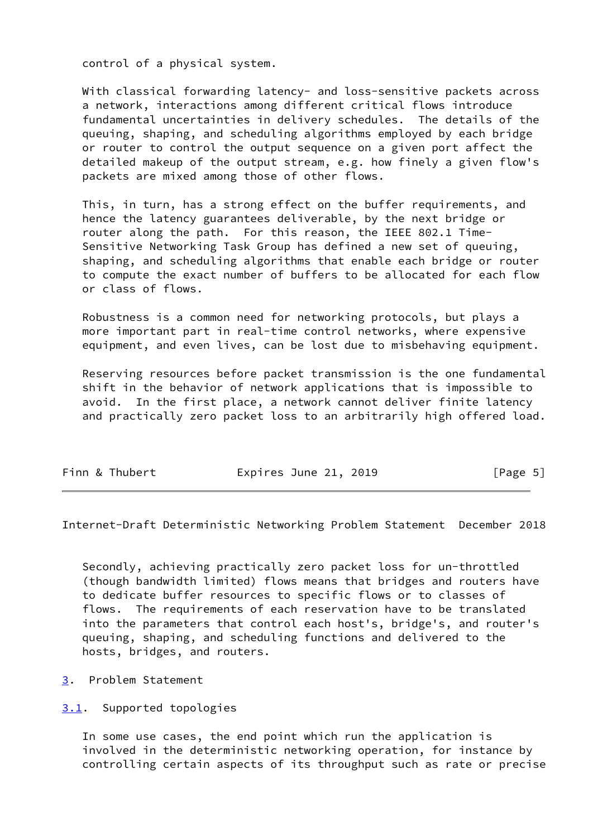control of a physical system.

With classical forwarding latency- and loss-sensitive packets across a network, interactions among different critical flows introduce fundamental uncertainties in delivery schedules. The details of the queuing, shaping, and scheduling algorithms employed by each bridge or router to control the output sequence on a given port affect the detailed makeup of the output stream, e.g. how finely a given flow's packets are mixed among those of other flows.

 This, in turn, has a strong effect on the buffer requirements, and hence the latency guarantees deliverable, by the next bridge or router along the path. For this reason, the IEEE 802.1 Time- Sensitive Networking Task Group has defined a new set of queuing, shaping, and scheduling algorithms that enable each bridge or router to compute the exact number of buffers to be allocated for each flow or class of flows.

 Robustness is a common need for networking protocols, but plays a more important part in real-time control networks, where expensive equipment, and even lives, can be lost due to misbehaving equipment.

 Reserving resources before packet transmission is the one fundamental shift in the behavior of network applications that is impossible to avoid. In the first place, a network cannot deliver finite latency and practically zero packet loss to an arbitrarily high offered load.

| Finn & Thubert<br>Expires June 21, 2019<br>[Page 5] |
|-----------------------------------------------------|
|-----------------------------------------------------|

<span id="page-5-1"></span>Internet-Draft Deterministic Networking Problem Statement December 2018

 Secondly, achieving practically zero packet loss for un-throttled (though bandwidth limited) flows means that bridges and routers have to dedicate buffer resources to specific flows or to classes of flows. The requirements of each reservation have to be translated into the parameters that control each host's, bridge's, and router's queuing, shaping, and scheduling functions and delivered to the hosts, bridges, and routers.

<span id="page-5-0"></span>[3](#page-5-0). Problem Statement

<span id="page-5-2"></span>[3.1](#page-5-2). Supported topologies

 In some use cases, the end point which run the application is involved in the deterministic networking operation, for instance by controlling certain aspects of its throughput such as rate or precise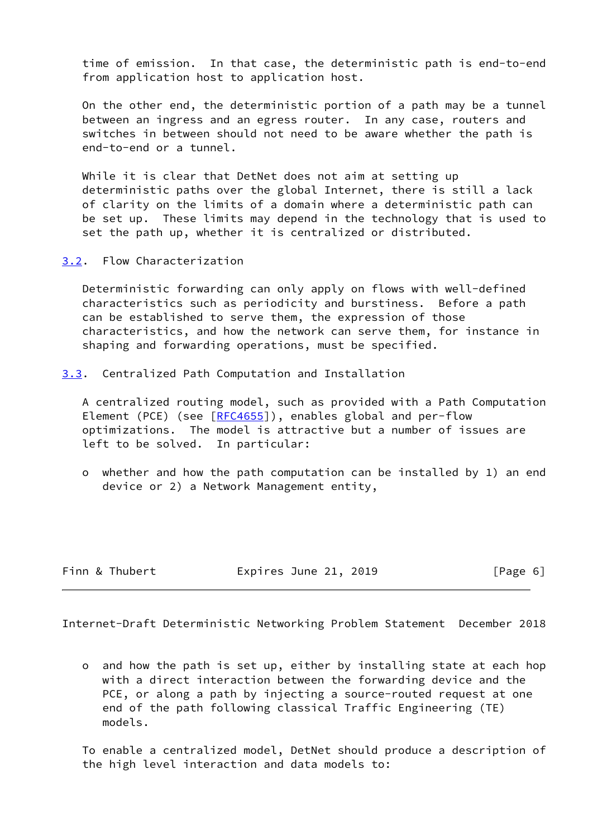time of emission. In that case, the deterministic path is end-to-end from application host to application host.

 On the other end, the deterministic portion of a path may be a tunnel between an ingress and an egress router. In any case, routers and switches in between should not need to be aware whether the path is end-to-end or a tunnel.

 While it is clear that DetNet does not aim at setting up deterministic paths over the global Internet, there is still a lack of clarity on the limits of a domain where a deterministic path can be set up. These limits may depend in the technology that is used to set the path up, whether it is centralized or distributed.

<span id="page-6-0"></span>[3.2](#page-6-0). Flow Characterization

 Deterministic forwarding can only apply on flows with well-defined characteristics such as periodicity and burstiness. Before a path can be established to serve them, the expression of those characteristics, and how the network can serve them, for instance in shaping and forwarding operations, must be specified.

<span id="page-6-1"></span>[3.3](#page-6-1). Centralized Path Computation and Installation

 A centralized routing model, such as provided with a Path Computation Element (PCE) (see [[RFC4655\]](https://datatracker.ietf.org/doc/pdf/rfc4655)), enables global and per-flow optimizations. The model is attractive but a number of issues are left to be solved. In particular:

 o whether and how the path computation can be installed by 1) an end device or 2) a Network Management entity,

Finn & Thubert **Expires June 21, 2019** [Page 6]

<span id="page-6-2"></span>Internet-Draft Deterministic Networking Problem Statement December 2018

 o and how the path is set up, either by installing state at each hop with a direct interaction between the forwarding device and the PCE, or along a path by injecting a source-routed request at one end of the path following classical Traffic Engineering (TE) models.

 To enable a centralized model, DetNet should produce a description of the high level interaction and data models to: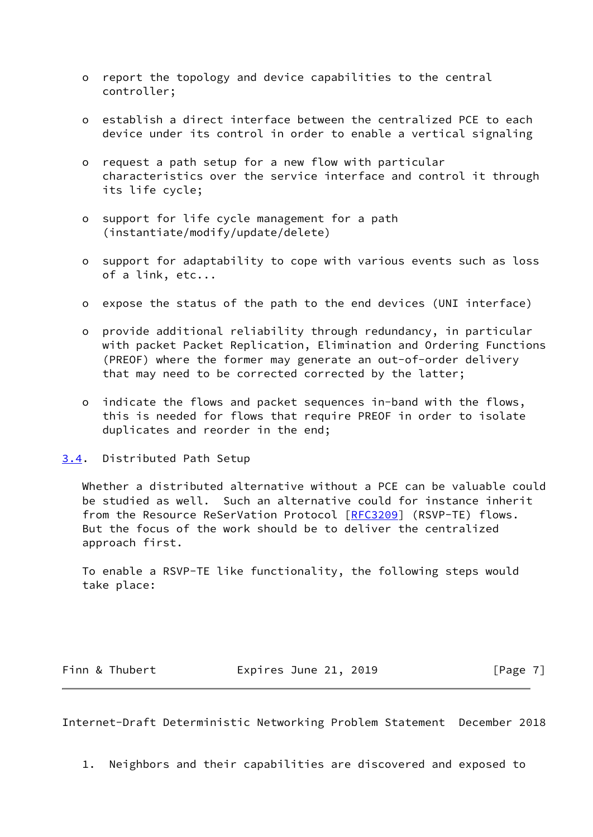- o report the topology and device capabilities to the central controller;
- o establish a direct interface between the centralized PCE to each device under its control in order to enable a vertical signaling
- o request a path setup for a new flow with particular characteristics over the service interface and control it through its life cycle;
- o support for life cycle management for a path (instantiate/modify/update/delete)
- o support for adaptability to cope with various events such as loss of a link, etc...
- o expose the status of the path to the end devices (UNI interface)
- o provide additional reliability through redundancy, in particular with packet Packet Replication, Elimination and Ordering Functions (PREOF) where the former may generate an out-of-order delivery that may need to be corrected corrected by the latter;
- o indicate the flows and packet sequences in-band with the flows, this is needed for flows that require PREOF in order to isolate duplicates and reorder in the end;

<span id="page-7-0"></span>[3.4](#page-7-0). Distributed Path Setup

 Whether a distributed alternative without a PCE can be valuable could be studied as well. Such an alternative could for instance inherit from the Resource ReSerVation Protocol [\[RFC3209](https://datatracker.ietf.org/doc/pdf/rfc3209)] (RSVP-TE) flows. But the focus of the work should be to deliver the centralized approach first.

 To enable a RSVP-TE like functionality, the following steps would take place:

Finn & Thubert **Expires June 21, 2019** [Page 7]

<span id="page-7-1"></span>Internet-Draft Deterministic Networking Problem Statement December 2018

1. Neighbors and their capabilities are discovered and exposed to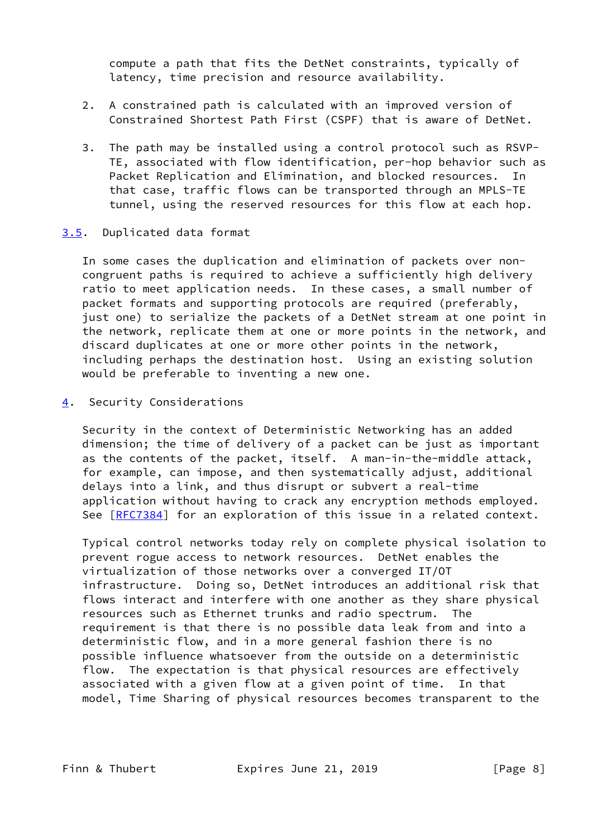compute a path that fits the DetNet constraints, typically of latency, time precision and resource availability.

- 2. A constrained path is calculated with an improved version of Constrained Shortest Path First (CSPF) that is aware of DetNet.
- 3. The path may be installed using a control protocol such as RSVP- TE, associated with flow identification, per-hop behavior such as Packet Replication and Elimination, and blocked resources. In that case, traffic flows can be transported through an MPLS-TE tunnel, using the reserved resources for this flow at each hop.

# <span id="page-8-0"></span>[3.5](#page-8-0). Duplicated data format

 In some cases the duplication and elimination of packets over non congruent paths is required to achieve a sufficiently high delivery ratio to meet application needs. In these cases, a small number of packet formats and supporting protocols are required (preferably, just one) to serialize the packets of a DetNet stream at one point in the network, replicate them at one or more points in the network, and discard duplicates at one or more other points in the network, including perhaps the destination host. Using an existing solution would be preferable to inventing a new one.

<span id="page-8-1"></span>[4](#page-8-1). Security Considerations

 Security in the context of Deterministic Networking has an added dimension; the time of delivery of a packet can be just as important as the contents of the packet, itself. A man-in-the-middle attack, for example, can impose, and then systematically adjust, additional delays into a link, and thus disrupt or subvert a real-time application without having to crack any encryption methods employed. See [\[RFC7384](https://datatracker.ietf.org/doc/pdf/rfc7384)] for an exploration of this issue in a related context.

 Typical control networks today rely on complete physical isolation to prevent rogue access to network resources. DetNet enables the virtualization of those networks over a converged IT/OT infrastructure. Doing so, DetNet introduces an additional risk that flows interact and interfere with one another as they share physical resources such as Ethernet trunks and radio spectrum. The requirement is that there is no possible data leak from and into a deterministic flow, and in a more general fashion there is no possible influence whatsoever from the outside on a deterministic flow. The expectation is that physical resources are effectively associated with a given flow at a given point of time. In that model, Time Sharing of physical resources becomes transparent to the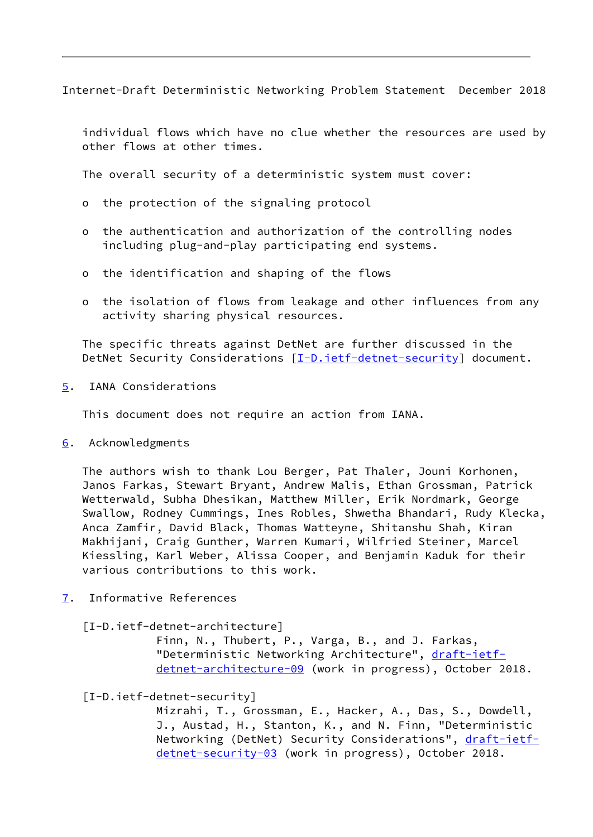<span id="page-9-1"></span>Internet-Draft Deterministic Networking Problem Statement December 2018

 individual flows which have no clue whether the resources are used by other flows at other times.

The overall security of a deterministic system must cover:

- o the protection of the signaling protocol
- o the authentication and authorization of the controlling nodes including plug-and-play participating end systems.
- o the identification and shaping of the flows
- o the isolation of flows from leakage and other influences from any activity sharing physical resources.

 The specific threats against DetNet are further discussed in the DetNet Security Considerations  $[I-D.iett-detnet-security]$  document.

<span id="page-9-0"></span>[5](#page-9-0). IANA Considerations

This document does not require an action from IANA.

<span id="page-9-2"></span>[6](#page-9-2). Acknowledgments

 The authors wish to thank Lou Berger, Pat Thaler, Jouni Korhonen, Janos Farkas, Stewart Bryant, Andrew Malis, Ethan Grossman, Patrick Wetterwald, Subha Dhesikan, Matthew Miller, Erik Nordmark, George Swallow, Rodney Cummings, Ines Robles, Shwetha Bhandari, Rudy Klecka, Anca Zamfir, David Black, Thomas Watteyne, Shitanshu Shah, Kiran Makhijani, Craig Gunther, Warren Kumari, Wilfried Steiner, Marcel Kiessling, Karl Weber, Alissa Cooper, and Benjamin Kaduk for their various contributions to this work.

<span id="page-9-3"></span>[7](#page-9-3). Informative References

<span id="page-9-4"></span>[I-D.ietf-detnet-architecture]

 Finn, N., Thubert, P., Varga, B., and J. Farkas, "Deterministic Networking Architecture", [draft-ietf](https://datatracker.ietf.org/doc/pdf/draft-ietf-detnet-architecture-09) [detnet-architecture-09](https://datatracker.ietf.org/doc/pdf/draft-ietf-detnet-architecture-09) (work in progress), October 2018.

<span id="page-9-5"></span>[I-D.ietf-detnet-security]

 Mizrahi, T., Grossman, E., Hacker, A., Das, S., Dowdell, J., Austad, H., Stanton, K., and N. Finn, "Deterministic Networking (DetNet) Security Considerations", [draft-ietf](https://datatracker.ietf.org/doc/pdf/draft-ietf-detnet-security-03) [detnet-security-03](https://datatracker.ietf.org/doc/pdf/draft-ietf-detnet-security-03) (work in progress), October 2018.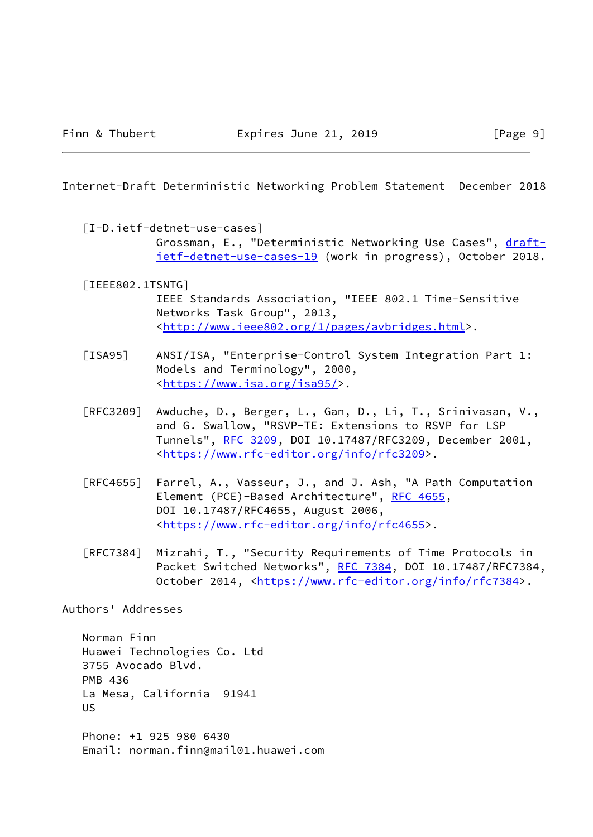<span id="page-10-0"></span>Internet-Draft Deterministic Networking Problem Statement December 2018

- <span id="page-10-2"></span><span id="page-10-1"></span> [I-D.ietf-detnet-use-cases] Grossman, E., "Deterministic Networking Use Cases", [draft](https://datatracker.ietf.org/doc/pdf/draft-ietf-detnet-use-cases-19) [ietf-detnet-use-cases-19](https://datatracker.ietf.org/doc/pdf/draft-ietf-detnet-use-cases-19) (work in progress), October 2018.
	- [IEEE802.1TSNTG]

 IEEE Standards Association, "IEEE 802.1 Time-Sensitive Networks Task Group", 2013, <[http://www.ieee802.org/1/pages/avbridges.html>](http://www.ieee802.org/1/pages/avbridges.html).

- <span id="page-10-3"></span>[ISA95] ANSI/ISA, "Enterprise-Control System Integration Part 1: Models and Terminology", 2000, <[https://www.isa.org/isa95/>](https://www.isa.org/isa95/).
- [RFC3209] Awduche, D., Berger, L., Gan, D., Li, T., Srinivasan, V., and G. Swallow, "RSVP-TE: Extensions to RSVP for LSP Tunnels", [RFC 3209](https://datatracker.ietf.org/doc/pdf/rfc3209), DOI 10.17487/RFC3209, December 2001, <[https://www.rfc-editor.org/info/rfc3209>](https://www.rfc-editor.org/info/rfc3209).
- [RFC4655] Farrel, A., Vasseur, J., and J. Ash, "A Path Computation Element (PCE)-Based Architecture", [RFC 4655](https://datatracker.ietf.org/doc/pdf/rfc4655), DOI 10.17487/RFC4655, August 2006, <[https://www.rfc-editor.org/info/rfc4655>](https://www.rfc-editor.org/info/rfc4655).
- [RFC7384] Mizrahi, T., "Security Requirements of Time Protocols in Packet Switched Networks", [RFC 7384](https://datatracker.ietf.org/doc/pdf/rfc7384), DOI 10.17487/RFC7384, October 2014, [<https://www.rfc-editor.org/info/rfc7384](https://www.rfc-editor.org/info/rfc7384)>.

Authors' Addresses

 Norman Finn Huawei Technologies Co. Ltd 3755 Avocado Blvd. PMB 436 La Mesa, California 91941 US

 Phone: +1 925 980 6430 Email: norman.finn@mail01.huawei.com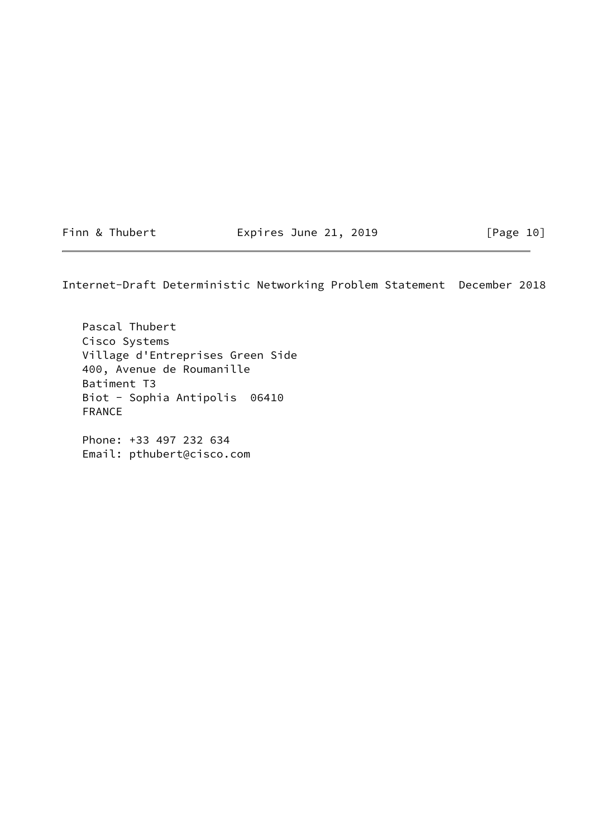Finn & Thubert **Expires June 21, 2019** [Page 10]

Internet-Draft Deterministic Networking Problem Statement December 2018

 Pascal Thubert Cisco Systems Village d'Entreprises Green Side 400, Avenue de Roumanille Batiment T3 Biot - Sophia Antipolis 06410 FRANCE

 Phone: +33 497 232 634 Email: pthubert@cisco.com